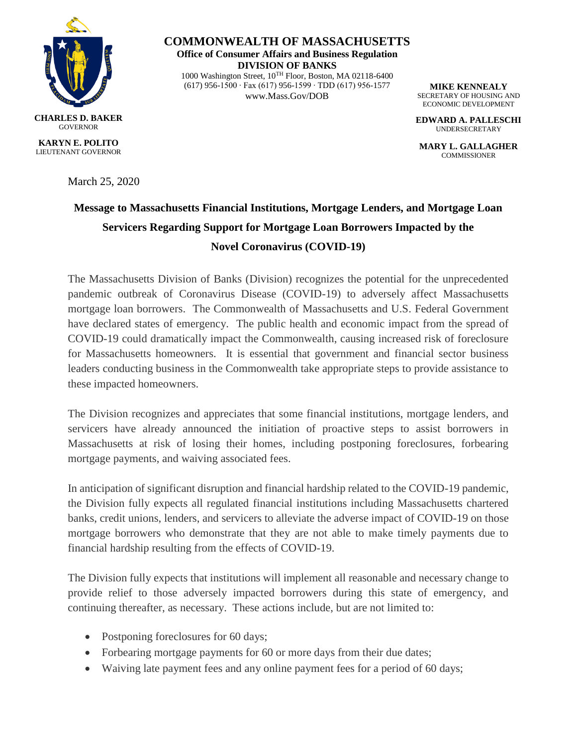

**COMMONWEALTH OF MASSACHUSETTS Office of Consumer Affairs and Business Regulation DIVISION OF BANKS** 1000 Washington Street, 10TH Floor, Boston, MA 02118-6400 (617) 956-1500 ∙ Fax (617) 956-1599 ∙ TDD (617) 956-1577 www.Mass.Gov/DOB

**MIKE KENNEALY** SECRETARY OF HOUSING AND ECONOMIC DEVELOPMENT

**EDWARD A. PALLESCHI** UNDERSECRETARY

**MARY L. GALLAGHER COMMISSIONER** 

**GOVERNOR KARYN E. POLITO** LIEUTENANT GOVERNOR

March 25, 2020

## **Message to Massachusetts Financial Institutions, Mortgage Lenders, and Mortgage Loan Servicers Regarding Support for Mortgage Loan Borrowers Impacted by the Novel Coronavirus (COVID-19)**

The Massachusetts Division of Banks (Division) recognizes the potential for the unprecedented pandemic outbreak of Coronavirus Disease (COVID-19) to adversely affect Massachusetts mortgage loan borrowers. The Commonwealth of Massachusetts and U.S. Federal Government have declared states of emergency. The public health and economic impact from the spread of COVID-19 could dramatically impact the Commonwealth, causing increased risk of foreclosure for Massachusetts homeowners. It is essential that government and financial sector business leaders conducting business in the Commonwealth take appropriate steps to provide assistance to these impacted homeowners.

The Division recognizes and appreciates that some financial institutions, mortgage lenders, and servicers have already announced the initiation of proactive steps to assist borrowers in Massachusetts at risk of losing their homes, including postponing foreclosures, forbearing mortgage payments, and waiving associated fees.

In anticipation of significant disruption and financial hardship related to the COVID-19 pandemic, the Division fully expects all regulated financial institutions including Massachusetts chartered banks, credit unions, lenders, and servicers to alleviate the adverse impact of COVID-19 on those mortgage borrowers who demonstrate that they are not able to make timely payments due to financial hardship resulting from the effects of COVID-19.

The Division fully expects that institutions will implement all reasonable and necessary change to provide relief to those adversely impacted borrowers during this state of emergency, and continuing thereafter, as necessary. These actions include, but are not limited to:

- Postponing foreclosures for 60 days;
- Forbearing mortgage payments for 60 or more days from their due dates;
- Waiving late payment fees and any online payment fees for a period of 60 days;